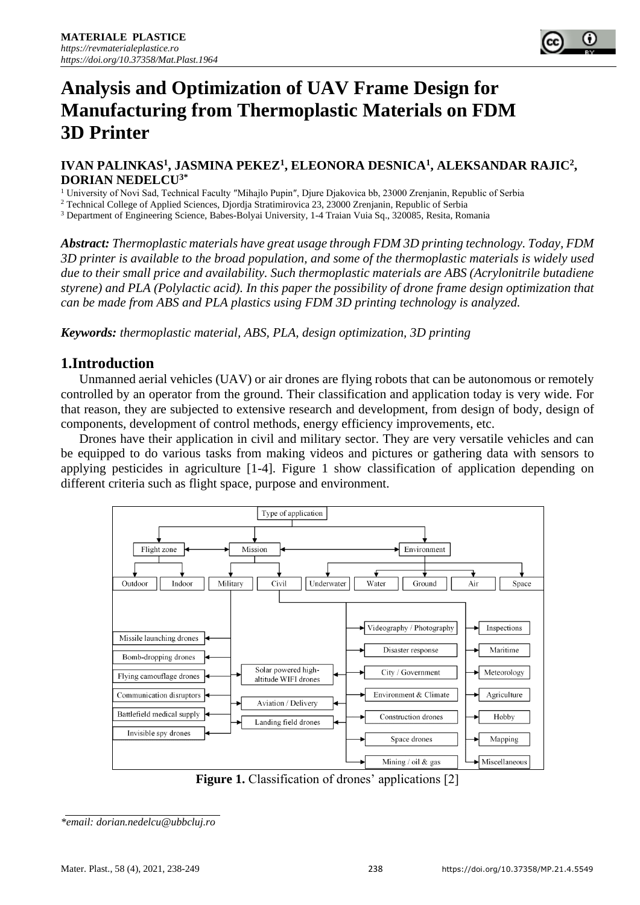# **Analysis and Optimization of UAV Frame Design for Manufacturing from Thermoplastic Materials on FDM 3D Printer**

#### **IVAN PALINKAS<sup>1</sup> , JASMINA PEKEZ<sup>1</sup> , ELEONORA DESNICA<sup>1</sup> , ALEKSANDAR RAJIC<sup>2</sup> , DORIAN NEDELCU3\***

<sup>1</sup> University of Novi Sad, Technical Faculty "Mihajlo Pupin", Djure Djakovica bb, 23000 Zrenjanin, Republic of Serbia

<sup>2</sup> Technical College of Applied Sciences, Djordja Stratimirovica 23, 23000 Zrenjanin, Republic of Serbia

<sup>3</sup> Department of Engineering Science, Babes-Bolyai University, 1-4 Traian Vuia Sq., 320085, Resita, Romania

*Abstract: Thermoplastic materials have great usage through FDM 3D printing technology. Today, FDM 3D printer is available to the broad population, and some of the thermoplastic materials is widely used due to their small price and availability. Such thermoplastic materials are ABS (Acrylonitrile butadiene styrene) and PLA (Polylactic acid). In this paper the possibility of drone frame design optimization that can be made from ABS and PLA plastics using FDM 3D printing technology is analyzed.*

*Keywords: thermoplastic material, ABS, PLA, design optimization, 3D printing*

## **1.Introduction**

Unmanned aerial vehicles (UAV) or air drones are flying robots that can be autonomous or remotely controlled by an operator from the ground. Their classification and application today is very wide. For that reason, they are subjected to extensive research and development, from design of body, design of components, development of control methods, energy efficiency improvements, etc.

Drones have their application in civil and military sector. They are very versatile vehicles and can be equipped to do various tasks from making videos and pictures or gathering data with sensors to applying pesticides in agriculture [1-4]. Figure 1 show classification of application depending on different criteria such as flight space, purpose and environment.



**Figure 1.** Classification of drones' applications [2]

*<sup>\*</sup>email: dorian.nedelcu@ubbcluj.ro*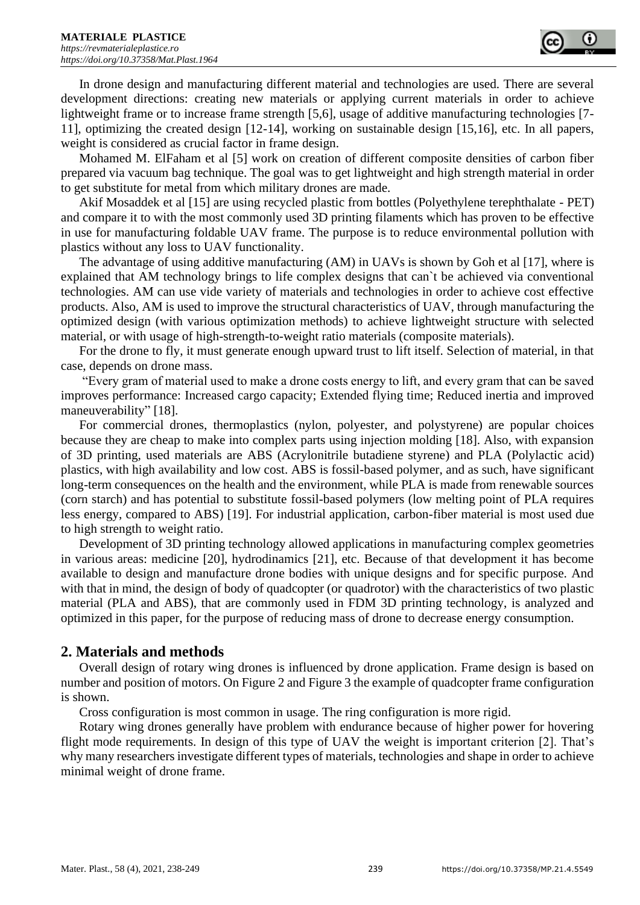

In drone design and manufacturing different material and technologies are used. There are several development directions: creating new materials or applying current materials in order to achieve lightweight frame or to increase frame strength [5,6], usage of additive manufacturing technologies [7-11], optimizing the created design [12-14], working on sustainable design [15,16], etc. In all papers, weight is considered as crucial factor in frame design.

Mohamed M. ElFaham et al [5] work on creation of different composite densities of carbon fiber prepared via vacuum bag technique. The goal was to get lightweight and high strength material in order to get substitute for metal from which military drones are made.

Akif Mosaddek et al [15] are using recycled plastic from bottles (Polyethylene terephthalate - PET) and compare it to with the most commonly used 3D printing filaments which has proven to be effective in use for manufacturing foldable UAV frame. The purpose is to reduce environmental pollution with plastics without any loss to UAV functionality.

The advantage of using additive manufacturing (AM) in UAVs is shown by Goh et al [17], where is explained that AM technology brings to life complex designs that can`t be achieved via conventional technologies. AM can use vide variety of materials and technologies in order to achieve cost effective products. Also, AM is used to improve the structural characteristics of UAV, through manufacturing the optimized design (with various optimization methods) to achieve lightweight structure with selected material, or with usage of high-strength-to-weight ratio materials (composite materials).

For the drone to fly, it must generate enough upward trust to lift itself. Selection of material, in that case, depends on drone mass.

"Every gram of material used to make a drone costs energy to lift, and every gram that can be saved improves performance: Increased cargo capacity; Extended flying time; Reduced inertia and improved maneuverability" [18].

For commercial drones, thermoplastics (nylon, polyester, and polystyrene) are popular choices because they are cheap to make into complex parts using injection molding [18]. Also, with expansion of 3D printing, used materials are ABS (Acrylonitrile butadiene styrene) and PLA (Polylactic acid) plastics, with high availability and low cost. ABS is fossil-based polymer, and as such, have significant long-term consequences on the health and the environment, while PLA is made from renewable sources (corn starch) and has potential to substitute fossil-based polymers (low melting point of PLA requires less energy, compared to ABS) [19]. For industrial application, carbon-fiber material is most used due to high strength to weight ratio.

Development of 3D printing technology allowed applications in manufacturing complex geometries in various areas: medicine [20], hydrodinamics [21], etc. Because of that development it has become available to design and manufacture drone bodies with unique designs and for specific purpose. And with that in mind, the design of body of quadcopter (or quadrotor) with the characteristics of two plastic material (PLA and ABS), that are commonly used in FDM 3D printing technology, is analyzed and optimized in this paper, for the purpose of reducing mass of drone to decrease energy consumption.

## **2. Materials and methods**

Overall design of rotary wing drones is influenced by drone application. Frame design is based on number and position of motors. On Figure 2 and Figure 3 the example of quadcopter frame configuration is shown.

Cross configuration is most common in usage. The ring configuration is more rigid.

Rotary wing drones generally have problem with endurance because of higher power for hovering flight mode requirements. In design of this type of UAV the weight is important criterion [2]. That's why many researchers investigate different types of materials, technologies and shape in order to achieve minimal weight of drone frame.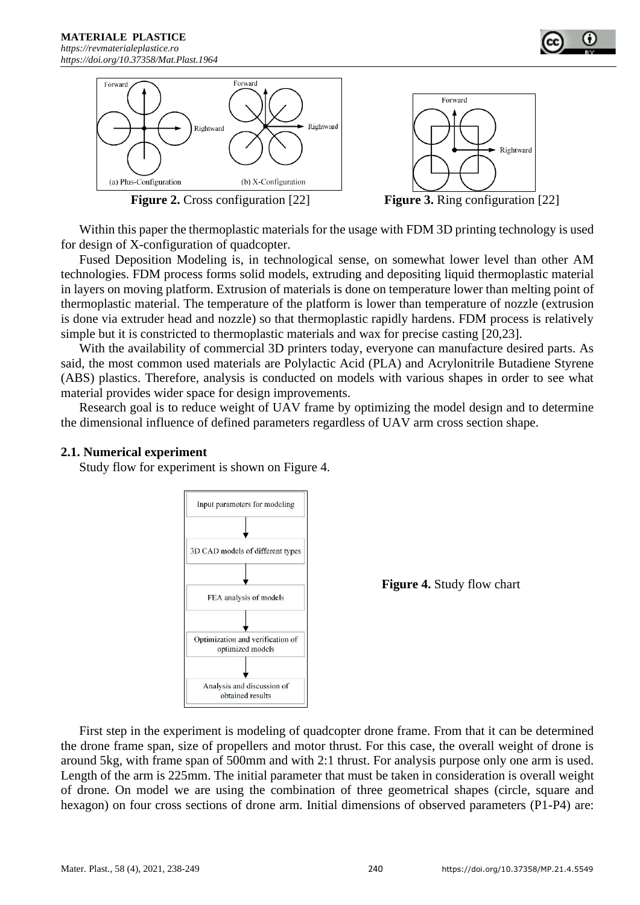



**Figure 2.** Cross configuration [22] **Figure 3.** Ring configuration [22]

Within this paper the thermoplastic materials for the usage with FDM 3D printing technology is used for design of X-configuration of quadcopter.

Fused Deposition Modeling is, in technological sense, on somewhat lower level than other AM technologies. FDM process forms solid models, extruding and depositing liquid thermoplastic material in layers on moving platform. Extrusion of materials is done on temperature lower than melting point of thermoplastic material. The temperature of the platform is lower than temperature of nozzle (extrusion is done via extruder head and nozzle) so that thermoplastic rapidly hardens. FDM process is relatively simple but it is constricted to thermoplastic materials and wax for precise casting [20,23].

With the availability of commercial 3D printers today, everyone can manufacture desired parts. As said, the most common used materials are Polylactic Acid (PLA) and Acrylonitrile Butadiene Styrene (ABS) plastics. Therefore, analysis is conducted on models with various shapes in order to see what material provides wider space for design improvements.

Research goal is to reduce weight of UAV frame by optimizing the model design and to determine the dimensional influence of defined parameters regardless of UAV arm cross section shape.

#### **2.1. Numerical experiment**

Study flow for experiment is shown on Figure 4.



**Figure 4.** Study flow chart

First step in the experiment is modeling of quadcopter drone frame. From that it can be determined the drone frame span, size of propellers and motor thrust. For this case, the overall weight of drone is around 5kg, with frame span of 500mm and with 2:1 thrust. For analysis purpose only one arm is used. Length of the arm is 225mm. The initial parameter that must be taken in consideration is overall weight of drone. On model we are using the combination of three geometrical shapes (circle, square and hexagon) on four cross sections of drone arm. Initial dimensions of observed parameters (P1-P4) are: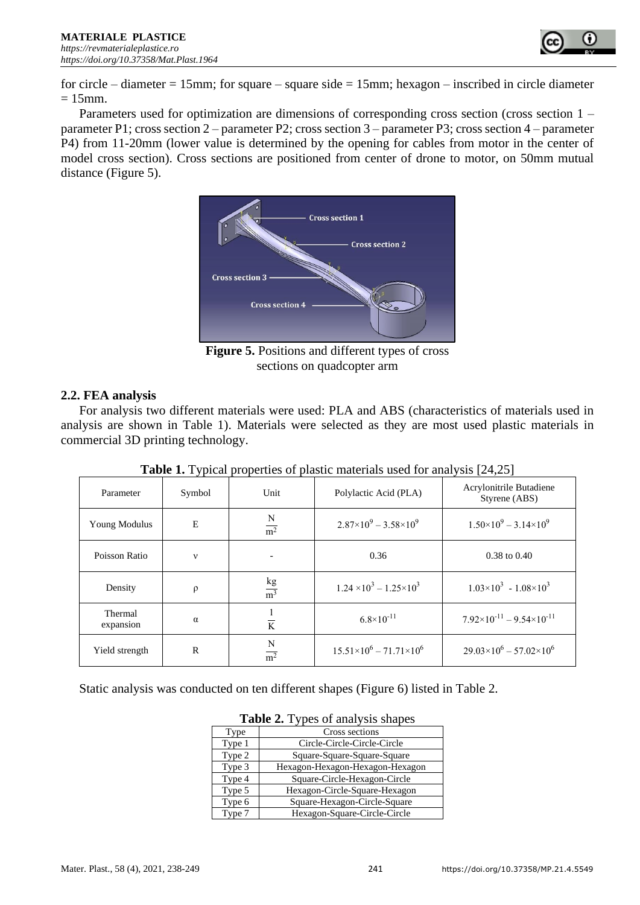

for circle – diameter  $= 15$ mm; for square – square side  $= 15$ mm; hexagon – inscribed in circle diameter  $= 15$ mm.

Parameters used for optimization are dimensions of corresponding cross section (cross section 1 – parameter P1; cross section 2 – parameter P2; cross section 3 – parameter P3; cross section 4 – parameter P4) from 11-20mm (lower value is determined by the opening for cables from motor in the center of model cross section). Cross sections are positioned from center of drone to motor, on 50mm mutual distance (Figure 5).



**Figure 5.** Positions and different types of cross sections on quadcopter arm

#### **2.2. FEA analysis**

For analysis two different materials were used: PLA and ABS (characteristics of materials used in analysis are shown in Table 1). Materials were selected as they are most used plastic materials in commercial 3D printing technology.

| Parameter            | Symbol       | Unit                  | Polylactic Acid (PLA)                   | Acrylonitrile Butadiene<br>Styrene (ABS)  |  |
|----------------------|--------------|-----------------------|-----------------------------------------|-------------------------------------------|--|
| Young Modulus        | E            | N<br>m <sup>2</sup>   | $2.87\times10^{9} - 3.58\times10^{9}$   | $1.50\times10^{9} - 3.14\times10^{9}$     |  |
| Poisson Ratio        | $\mathbf{v}$ |                       | 0.36                                    | $0.38$ to $0.40$                          |  |
| Density              | $\rho$       | $rac{kg}{m^3}$        | $1.24 \times 10^3 - 1.25 \times 10^3$   | $1.03\times10^{3} - 1.08\times10^{3}$     |  |
| Thermal<br>expansion | $\alpha$     | $\overline{K}$        | $6.8 \times 10^{-11}$                   | $7.92\times10^{-11} - 9.54\times10^{-11}$ |  |
| Yield strength       | R            | N<br>$\overline{m^2}$ | $15.51\times10^{6} - 71.71\times10^{6}$ | $29.03\times10^{6} - 57.02\times10^{6}$   |  |

**Table 1.** Typical properties of plastic materials used for analysis [24,25]

Static analysis was conducted on ten different shapes (Figure 6) listed in Table 2.

|        | $\frac{1}{2}$ and $\frac{1}{2}$ , $\frac{1}{2}$ , $\frac{1}{2}$ or $\frac{1}{2}$ and $\frac{1}{2}$ on $\frac{1}{2}$ on $\frac{1}{2}$ |  |  |  |  |  |
|--------|--------------------------------------------------------------------------------------------------------------------------------------|--|--|--|--|--|
| Type   | Cross sections                                                                                                                       |  |  |  |  |  |
| Type 1 | Circle-Circle-Circle-Circle                                                                                                          |  |  |  |  |  |
| Type 2 | Square-Square-Square-Square                                                                                                          |  |  |  |  |  |
| Type 3 | Hexagon-Hexagon-Hexagon-Hexagon                                                                                                      |  |  |  |  |  |
| Type 4 | Square-Circle-Hexagon-Circle                                                                                                         |  |  |  |  |  |
| Type 5 | Hexagon-Circle-Square-Hexagon                                                                                                        |  |  |  |  |  |
| Type 6 | Square-Hexagon-Circle-Square                                                                                                         |  |  |  |  |  |
| Type 7 | Hexagon-Square-Circle-Circle                                                                                                         |  |  |  |  |  |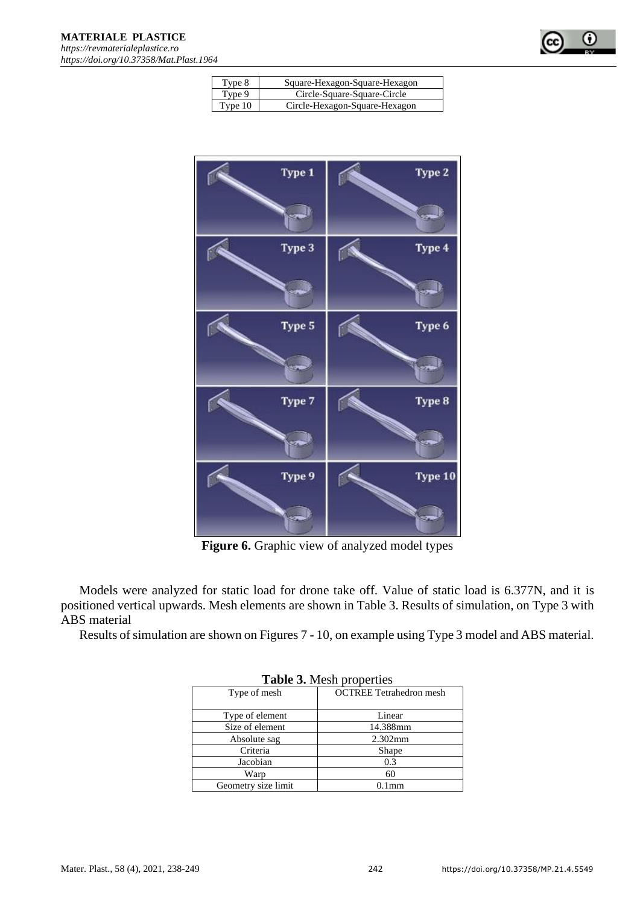

| Type 8  | Square-Hexagon-Square-Hexagon |
|---------|-------------------------------|
| Type 9  | Circle-Square-Square-Circle   |
| Type 10 | Circle-Hexagon-Square-Hexagon |



**Figure 6.** Graphic view of analyzed model types

Models were analyzed for static load for drone take off. Value of static load is 6.377N, and it is positioned vertical upwards. Mesh elements are shown in Table 3. Results of simulation, on Type 3 with ABS material

Results of simulation are shown on Figures 7 - 10, on example using Type 3 model and ABS material.

| <b>rapic S.</b> Most properties |                                |  |  |  |  |  |
|---------------------------------|--------------------------------|--|--|--|--|--|
| Type of mesh                    | <b>OCTREE</b> Tetrahedron mesh |  |  |  |  |  |
| Type of element                 | Linear                         |  |  |  |  |  |
| Size of element                 | 14.388mm                       |  |  |  |  |  |
| Absolute sag                    | $2.302$ mm                     |  |  |  |  |  |
| Criteria                        | Shape                          |  |  |  |  |  |
| Jacobian                        | 0.3                            |  |  |  |  |  |
| Warp                            | 60                             |  |  |  |  |  |
| Geometry size limit             | 1mm                            |  |  |  |  |  |

**Table 3.** Mesh properties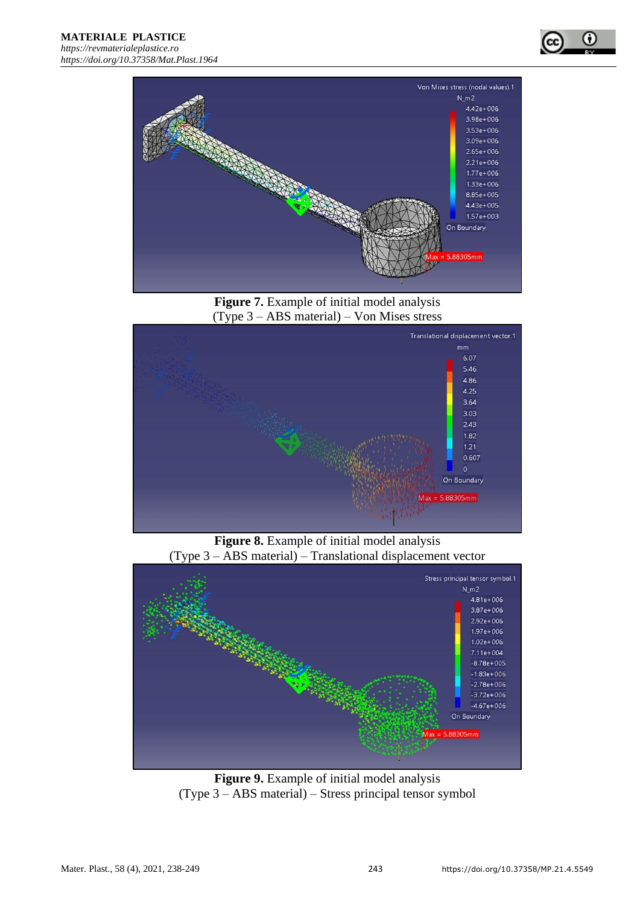



**Figure 7.** Example of initial model analysis (Type 3 – ABS material) – Von Mises stress



**Figure 8.** Example of initial model analysis (Type 3 – ABS material) – Translational displacement vector



**Figure 9.** Example of initial model analysis (Type 3 – ABS material) – Stress principal tensor symbol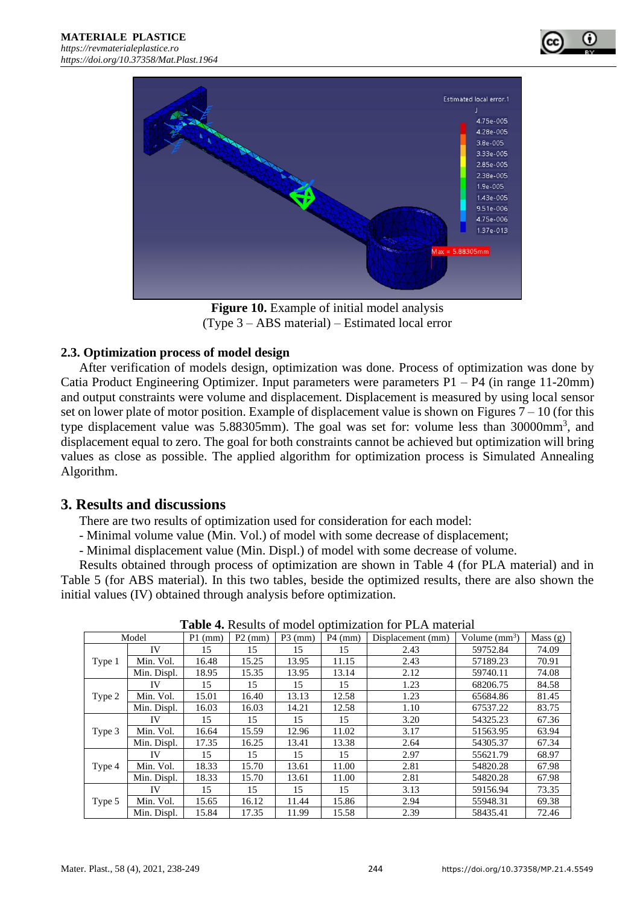



**Figure 10.** Example of initial model analysis (Type 3 – ABS material) – Estimated local error

#### **2.3. Optimization process of model design**

After verification of models design, optimization was done. Process of optimization was done by Catia Product Engineering Optimizer. Input parameters were parameters P1 – P4 (in range 11-20mm) and output constraints were volume and displacement. Displacement is measured by using local sensor set on lower plate of motor position. Example of displacement value is shown on Figures  $7 - 10$  (for this type displacement value was  $5.88305$ mm). The goal was set for: volume less than  $30000$ mm<sup>3</sup>, and displacement equal to zero. The goal for both constraints cannot be achieved but optimization will bring values as close as possible. The applied algorithm for optimization process is Simulated Annealing Algorithm.

## **3. Results and discussions**

There are two results of optimization used for consideration for each model:

- Minimal volume value (Min. Vol.) of model with some decrease of displacement;

- Minimal displacement value (Min. Displ.) of model with some decrease of volume.

Results obtained through process of optimization are shown in Table 4 (for PLA material) and in Table 5 (for ABS material). In this two tables, beside the optimized results, there are also shown the initial values (IV) obtained through analysis before optimization.

| Model  |             | $P1$ (mm) | $P2$ (mm) | $P3$ (mm) | $P4$ (mm) | Displacement (mm) | Volume $(mm^3)$ | Mass $(g)$ |
|--------|-------------|-----------|-----------|-----------|-----------|-------------------|-----------------|------------|
|        | IV          | 15        | 15        | 15        | 15        | 2.43              | 59752.84        | 74.09      |
| Type 1 | Min. Vol.   | 16.48     | 15.25     | 13.95     | 11.15     | 2.43              | 57189.23        | 70.91      |
|        | Min. Displ. | 18.95     | 15.35     | 13.95     | 13.14     | 2.12              | 59740.11        | 74.08      |
|        | IV          | 15        | 15        | 15        | 15        | 1.23              | 68206.75        | 84.58      |
| Type 2 | Min. Vol.   | 15.01     | 16.40     | 13.13     | 12.58     | 1.23              | 65684.86        | 81.45      |
|        | Min. Displ. | 16.03     | 16.03     | 14.21     | 12.58     | 1.10              | 67537.22        | 83.75      |
|        | IV          | 15        | 15        | 15        | 15        | 3.20              | 54325.23        | 67.36      |
| Type 3 | Min. Vol.   | 16.64     | 15.59     | 12.96     | 11.02     | 3.17              | 51563.95        | 63.94      |
|        | Min. Displ. | 17.35     | 16.25     | 13.41     | 13.38     | 2.64              | 54305.37        | 67.34      |
|        | IV          | 15        | 15        | 15        | 15        | 2.97              | 55621.79        | 68.97      |
| Type 4 | Min. Vol.   | 18.33     | 15.70     | 13.61     | 11.00     | 2.81              | 54820.28        | 67.98      |
|        | Min. Displ. | 18.33     | 15.70     | 13.61     | 11.00     | 2.81              | 54820.28        | 67.98      |
|        | IV          | 15        | 15        | 15        | 15        | 3.13              | 59156.94        | 73.35      |
| Type 5 | Min. Vol.   | 15.65     | 16.12     | 11.44     | 15.86     | 2.94              | 55948.31        | 69.38      |
|        | Min. Displ. | 15.84     | 17.35     | 11.99     | 15.58     | 2.39              | 58435.41        | 72.46      |

**Table 4.** Results of model optimization for PLA material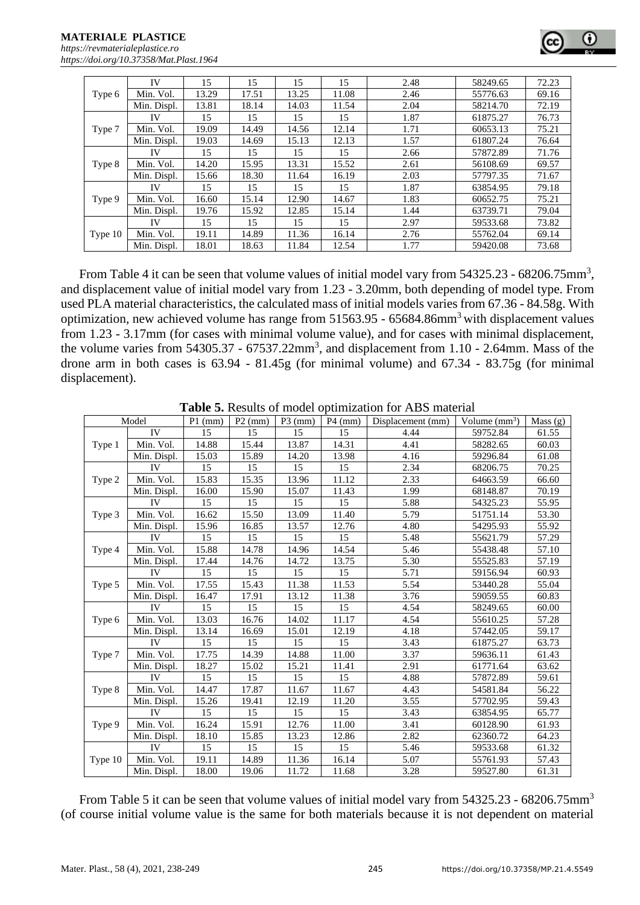|         | IV          | 15    | 15    | 15    | 15    | 2.48 | 58249.65 | 72.23 |
|---------|-------------|-------|-------|-------|-------|------|----------|-------|
| Type 6  | Min. Vol.   | 13.29 | 17.51 | 13.25 | 11.08 | 2.46 | 55776.63 | 69.16 |
|         | Min. Displ. | 13.81 | 18.14 | 14.03 | 11.54 | 2.04 | 58214.70 | 72.19 |
|         | IV          | 15    | 15    | 15    | 15    | 1.87 | 61875.27 | 76.73 |
| Type 7  | Min. Vol.   | 19.09 | 14.49 | 14.56 | 12.14 | 1.71 | 60653.13 | 75.21 |
|         | Min. Displ. | 19.03 | 14.69 | 15.13 | 12.13 | 1.57 | 61807.24 | 76.64 |
|         | <b>IV</b>   | 15    | 15    | 15    | 15    | 2.66 | 57872.89 | 71.76 |
| Type 8  | Min. Vol.   | 14.20 | 15.95 | 13.31 | 15.52 | 2.61 | 56108.69 | 69.57 |
|         | Min. Displ. | 15.66 | 18.30 | 11.64 | 16.19 | 2.03 | 57797.35 | 71.67 |
|         | IV          | 15    | 15    | 15    | 15    | 1.87 | 63854.95 | 79.18 |
| Type 9  | Min. Vol.   | 16.60 | 15.14 | 12.90 | 14.67 | 1.83 | 60652.75 | 75.21 |
|         | Min. Displ. | 19.76 | 15.92 | 12.85 | 15.14 | 1.44 | 63739.71 | 79.04 |
| Type 10 | IV          | 15    | 15    | 15    | 15    | 2.97 | 59533.68 | 73.82 |
|         | Min. Vol.   | 19.11 | 14.89 | 11.36 | 16.14 | 2.76 | 55762.04 | 69.14 |
|         | Min. Displ. | 18.01 | 18.63 | 11.84 | 12.54 | 1.77 | 59420.08 | 73.68 |

From Table 4 it can be seen that volume values of initial model vary from  $54325.23 - 68206.75$ mm<sup>3</sup>, and displacement value of initial model vary from 1.23 - 3.20mm, both depending of model type. From used PLA material characteristics, the calculated mass of initial models varies from 67.36 - 84.58g. With optimization, new achieved volume has range from 51563.95 - 65684.86mm<sup>3</sup>with displacement values from 1.23 - 3.17mm (for cases with minimal volume value), and for cases with minimal displacement, the volume varies from  $54305.37 - 67537.22 \text{mm}^3$ , and displacement from 1.10 - 2.64mm. Mass of the drone arm in both cases is 63.94 - 81.45g (for minimal volume) and 67.34 - 83.75g (for minimal displacement).

| Model   |             | $P1$ (mm) | $P2$ (mm) | $P3$ (mm) | $P4$ (mm) | Displacement (mm) | Volume $(mm3)$ | Mass (g) |
|---------|-------------|-----------|-----------|-----------|-----------|-------------------|----------------|----------|
| Type 1  | IV          | 15        | 15        | 15        | 15        | 4.44              | 59752.84       | 61.55    |
|         | Min. Vol.   | 14.88     | 15.44     | 13.87     | 14.31     | 4.41              | 58282.65       | 60.03    |
|         | Min. Displ. | 15.03     | 15.89     | 14.20     | 13.98     | 4.16              | 59296.84       | 61.08    |
|         | IV          | 15        | 15        | 15        | 15        | 2.34              | 68206.75       | 70.25    |
| Type 2  | Min. Vol.   | 15.83     | 15.35     | 13.96     | 11.12     | 2.33              | 64663.59       | 66.60    |
|         | Min. Displ. | 16.00     | 15.90     | 15.07     | 11.43     | 1.99              | 68148.87       | 70.19    |
|         | IV          | 15        | 15        | 15        | 15        | 5.88              | 54325.23       | 55.95    |
| Type 3  | Min. Vol.   | 16.62     | 15.50     | 13.09     | 11.40     | 5.79              | 51751.14       | 53.30    |
|         | Min. Displ. | 15.96     | 16.85     | 13.57     | 12.76     | 4.80              | 54295.93       | 55.92    |
|         | <b>IV</b>   | 15        | 15        | 15        | 15        | 5.48              | 55621.79       | 57.29    |
| Type 4  | Min. Vol.   | 15.88     | 14.78     | 14.96     | 14.54     | 5.46              | 55438.48       | 57.10    |
|         | Min. Displ. | 17.44     | 14.76     | 14.72     | 13.75     | 5.30              | 55525.83       | 57.19    |
|         | IV          | 15        | 15        | 15        | 15        | 5.71              | 59156.94       | 60.93    |
| Type 5  | Min. Vol.   | 17.55     | 15.43     | 11.38     | 11.53     | 5.54              | 53440.28       | 55.04    |
|         | Min. Displ. | 16.47     | 17.91     | 13.12     | 11.38     | 3.76              | 59059.55       | 60.83    |
|         | <b>IV</b>   | 15        | 15        | 15        | 15        | 4.54              | 58249.65       | 60.00    |
| Type 6  | Min. Vol.   | 13.03     | 16.76     | 14.02     | 11.17     | 4.54              | 55610.25       | 57.28    |
|         | Min. Displ. | 13.14     | 16.69     | 15.01     | 12.19     | 4.18              | 57442.05       | 59.17    |
|         | IV          | 15        | 15        | 15        | 15        | 3.43              | 61875.27       | 63.73    |
| Type 7  | Min. Vol.   | 17.75     | 14.39     | 14.88     | 11.00     | 3.37              | 59636.11       | 61.43    |
|         | Min. Displ. | 18.27     | 15.02     | 15.21     | 11.41     | 2.91              | 61771.64       | 63.62    |
|         | <b>IV</b>   | 15        | 15        | 15        | 15        | 4.88              | 57872.89       | 59.61    |
| Type 8  | Min. Vol.   | 14.47     | 17.87     | 11.67     | 11.67     | 4.43              | 54581.84       | 56.22    |
|         | Min. Displ. | 15.26     | 19.41     | 12.19     | 11.20     | 3.55              | 57702.95       | 59.43    |
| Type 9  | IV          | 15        | 15        | 15        | 15        | 3.43              | 63854.95       | 65.77    |
|         | Min. Vol.   | 16.24     | 15.91     | 12.76     | 11.00     | 3.41              | 60128.90       | 61.93    |
|         | Min. Displ. | 18.10     | 15.85     | 13.23     | 12.86     | 2.82              | 62360.72       | 64.23    |
|         | IV          | 15        | 15        | 15        | 15        | 5.46              | 59533.68       | 61.32    |
| Type 10 | Min. Vol.   | 19.11     | 14.89     | 11.36     | 16.14     | 5.07              | 55761.93       | 57.43    |
|         | Min. Displ. | 18.00     | 19.06     | 11.72     | 11.68     | 3.28              | 59527.80       | 61.31    |

**Table 5.** Results of model optimization for ABS material

From Table 5 it can be seen that volume values of initial model vary from 54325.23 - 68206.75mm<sup>3</sup> (of course initial volume value is the same for both materials because it is not dependent on material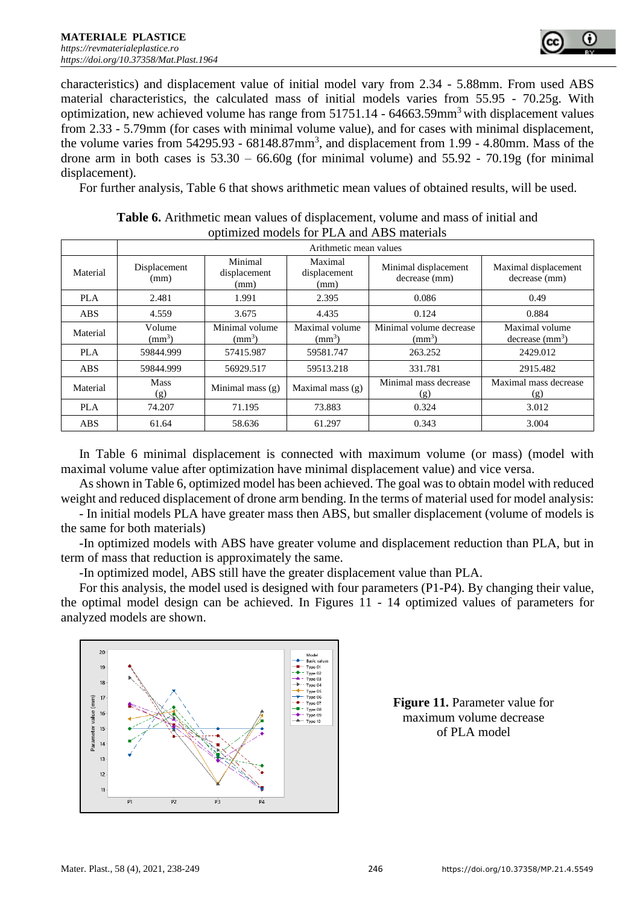

characteristics) and displacement value of initial model vary from 2.34 - 5.88mm. From used ABS material characteristics, the calculated mass of initial models varies from 55.95 - 70.25g. With optimization, new achieved volume has range from  $51751.14 - 64663.59$  mm<sup>3</sup> with displacement values from 2.33 - 5.79mm (for cases with minimal volume value), and for cases with minimal displacement, the volume varies from  $54295.93 - 68148.87 \text{mm}^3$ , and displacement from 1.99 - 4.80mm. Mass of the drone arm in both cases is  $53.30 - 66.60g$  (for minimal volume) and  $55.92 - 70.19g$  (for minimal displacement).

For further analysis, Table 6 that shows arithmetic mean values of obtained results, will be used.

| opullitzed hiodels for I La valid Tipp materials |                           |                                 |                                 |                                               |                                               |  |  |  |
|--------------------------------------------------|---------------------------|---------------------------------|---------------------------------|-----------------------------------------------|-----------------------------------------------|--|--|--|
|                                                  | Arithmetic mean values    |                                 |                                 |                                               |                                               |  |  |  |
| Material                                         | Displacement<br>(mm)      | Minimal<br>displacement<br>(mm) | Maximal<br>displacement<br>(mm) | Minimal displacement<br>decrease (mm)         | Maximal displacement<br>decrease (mm)         |  |  |  |
| <b>PLA</b>                                       | 2.481                     | 1.991                           | 2.395                           | 0.086                                         | 0.49                                          |  |  |  |
| ABS.                                             | 4.559                     | 3.675                           | 4.435                           | 0.124                                         | 0.884                                         |  |  |  |
| Material                                         | Volume<br>$\text{(mm}^3)$ | Minimal volume<br>$\rm (mm^3)$  | Maximal volume<br>$\rm (mm^3)$  | Minimal volume decrease<br>(mm <sup>3</sup> ) | Maximal volume<br>decrease (mm <sup>3</sup> ) |  |  |  |
| <b>PLA</b>                                       | 59844.999                 | 57415.987                       | 59581.747                       | 263.252                                       | 2429.012                                      |  |  |  |
| <b>ABS</b>                                       | 59844.999                 | 56929.517                       | 59513.218                       | 331.781                                       | 2915.482                                      |  |  |  |
| Material                                         | <b>Mass</b><br>(g)        | Minimal mass $(g)$              | Maximal mass $(g)$              | Minimal mass decrease<br>(g)                  | Maximal mass decrease<br>(g)                  |  |  |  |
| PLA                                              | 74.207                    | 71.195                          | 73.883                          | 0.324                                         | 3.012                                         |  |  |  |
| <b>ABS</b>                                       | 61.64                     | 58.636                          | 61.297                          | 0.343                                         | 3.004                                         |  |  |  |

**Table 6.** Arithmetic mean values of displacement, volume and mass of initial and optimized models for PLA and ABS materials

In Table 6 minimal displacement is connected with maximum volume (or mass) (model with maximal volume value after optimization have minimal displacement value) and vice versa.

As shown in Table 6, optimized model has been achieved. The goal was to obtain model with reduced weight and reduced displacement of drone arm bending. In the terms of material used for model analysis:

- In initial models PLA have greater mass then ABS, but smaller displacement (volume of models is the same for both materials)

-In optimized models with ABS have greater volume and displacement reduction than PLA, but in term of mass that reduction is approximately the same.

-In optimized model, ABS still have the greater displacement value than PLA.

For this analysis, the model used is designed with four parameters (P1-P4). By changing their value, the optimal model design can be achieved. In Figures 11 - 14 optimized values of parameters for analyzed models are shown.



**Figure 11.** Parameter value for maximum volume decrease of PLA model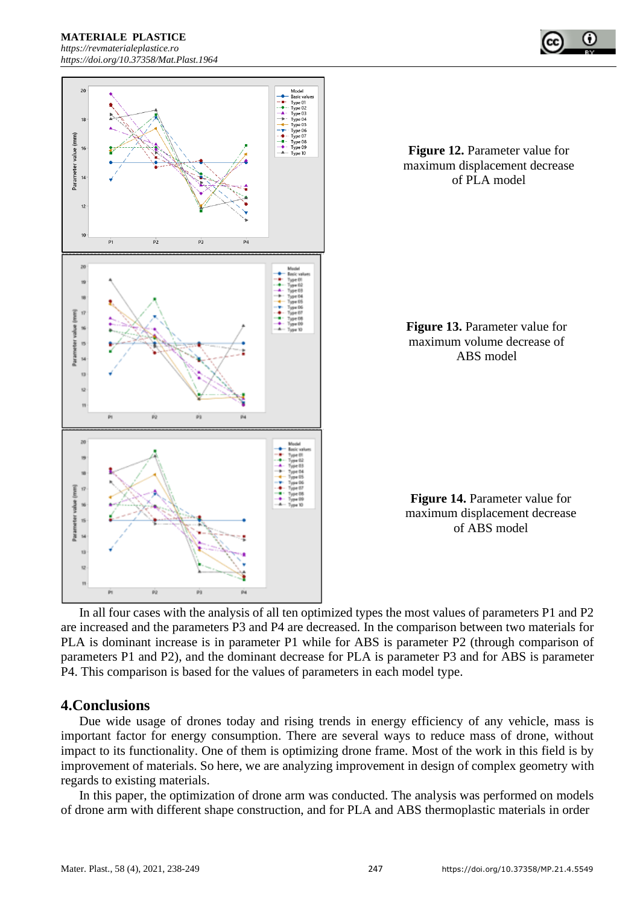**MATERIALE PLASTICE** 

*[https://revmaterialeplastice.ro](https://revmaterialeplastice.ro/) https://doi.org/10.37358/Mat.Plast.1964*





**Figure 12.** Parameter value for maximum displacement decrease of PLA model

**Figure 13.** Parameter value for maximum volume decrease of ABS model

**Figure 14.** Parameter value for maximum displacement decrease of ABS model

In all four cases with the analysis of all ten optimized types the most values of parameters P1 and P2 are increased and the parameters P3 and P4 are decreased. In the comparison between two materials for PLA is dominant increase is in parameter P1 while for ABS is parameter P2 (through comparison of parameters P1 and P2), and the dominant decrease for PLA is parameter P3 and for ABS is parameter P4. This comparison is based for the values of parameters in each model type.

## **4.Conclusions**

Due wide usage of drones today and rising trends in energy efficiency of any vehicle, mass is important factor for energy consumption. There are several ways to reduce mass of drone, without impact to its functionality. One of them is optimizing drone frame. Most of the work in this field is by improvement of materials. So here, we are analyzing improvement in design of complex geometry with regards to existing materials.

In this paper, the optimization of drone arm was conducted. The analysis was performed on models of drone arm with different shape construction, and for PLA and ABS thermoplastic materials in order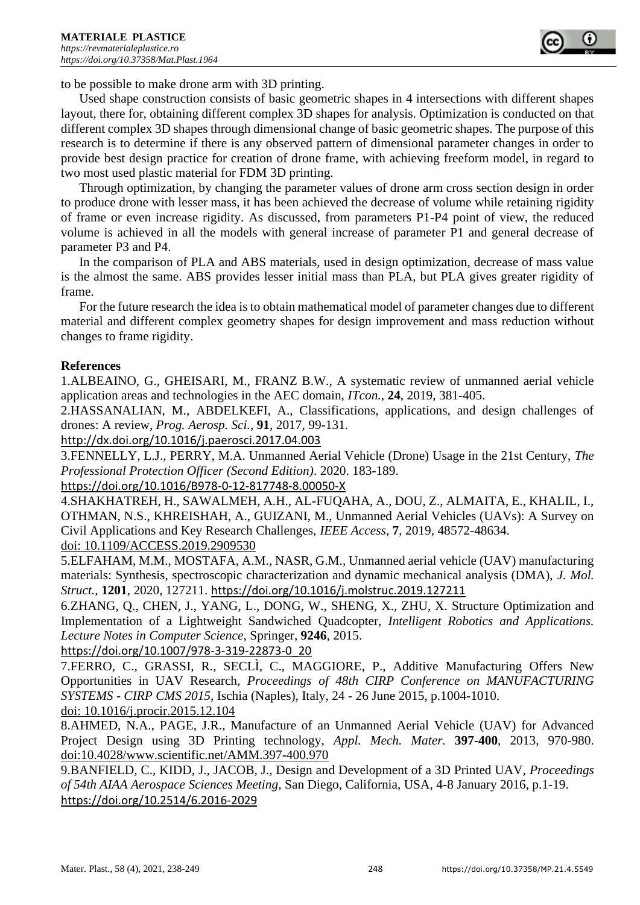

to be possible to make drone arm with 3D printing.

Used shape construction consists of basic geometric shapes in 4 intersections with different shapes layout, there for, obtaining different complex 3D shapes for analysis. Optimization is conducted on that different complex 3D shapes through dimensional change of basic geometric shapes. The purpose of this research is to determine if there is any observed pattern of dimensional parameter changes in order to provide best design practice for creation of drone frame, with achieving freeform model, in regard to two most used plastic material for FDM 3D printing.

Through optimization, by changing the parameter values of drone arm cross section design in order to produce drone with lesser mass, it has been achieved the decrease of volume while retaining rigidity of frame or even increase rigidity. As discussed, from parameters P1-P4 point of view, the reduced volume is achieved in all the models with general increase of parameter P1 and general decrease of parameter P3 and P4.

In the comparison of PLA and ABS materials, used in design optimization, decrease of mass value is the almost the same. ABS provides lesser initial mass than PLA, but PLA gives greater rigidity of frame.

For the future research the idea is to obtain mathematical model of parameter changes due to different material and different complex geometry shapes for design improvement and mass reduction without changes to frame rigidity.

#### **References**

1.ALBEAINO, G., GHEISARI, M., FRANZ B.W., A systematic review of unmanned aerial vehicle application areas and technologies in the AEC domain, *ITcon.*, **24**, 2019, 381-405.

2.HASSANALIAN, M., ABDELKEFI, A., Classifications, applications, and design challenges of drones: A review, *Prog. Aerosp. Sci.*, **91**, 2017, 99-131.

<http://dx.doi.org/10.1016/j.paerosci.2017.04.003>

3.FENNELLY, L.J., PERRY, M.A. Unmanned Aerial Vehicle (Drone) Usage in the 21st Century, *The Professional Protection Officer (Second Edition)*. 2020. 183-189.

#### <https://doi.org/10.1016/B978-0-12-817748-8.00050-X>

4.SHAKHATREH, H., SAWALMEH, A.H., AL-FUQAHA, A., DOU, Z., ALMAITA, E., KHALIL, I., OTHMAN, N.S., KHREISHAH, A., GUIZANI, M., Unmanned Aerial Vehicles (UAVs): A Survey on Civil Applications and Key Research Challenges, *IEEE Access*, **7**, 2019, 48572-48634. doi: 10.1109/ACCESS.2019.2909530

5.ELFAHAM, M.M., MOSTAFA, A.M., NASR, G.M., Unmanned aerial vehicle (UAV) manufacturing materials: Synthesis, spectroscopic characterization and dynamic mechanical analysis (DMA), *J. Mol. Struct.*, **1201**, 2020, 127211. <https://doi.org/10.1016/j.molstruc.2019.127211>

6.ZHANG, Q., CHEN, J., YANG, L., DONG, W., SHENG, X., ZHU, X. Structure Optimization and Implementation of a Lightweight Sandwiched Quadcopter, *Intelligent Robotics and Applications. Lecture Notes in Computer Science*, Springer, **9246**, 2015.

#### [https://doi.org/10.1007/978-3-319-22873-0\\_20](https://doi.org/10.1007/978-3-319-22873-0_20)

7.FERRO, C., GRASSI, R., SECLÌ, C., MAGGIORE, P., Additive Manufacturing Offers New Opportunities in UAV Research, *Proceedings of 48th CIRP Conference on MANUFACTURING SYSTEMS - CIRP CMS 2015*, Ischia (Naples), Italy, 24 - 26 June 2015, p.1004-1010. doi: 10.1016/j.procir.2015.12.104

8.AHMED, N.A., PAGE, J.R., Manufacture of an Unmanned Aerial Vehicle (UAV) for Advanced Project Design using 3D Printing technology, *Appl. Mech. Mater.* **397-400**, 2013, 970-980. doi:10.4028/www.scientific.net/AMM.397-400.970

9.BANFIELD, C., KIDD, J., JACOB, J., Design and Development of a 3D Printed UAV, *Proceedings of 54th AIAA Aerospace Sciences Meeting,* San Diego, California, USA, 4-8 January 2016, p.1-19. <https://doi.org/10.2514/6.2016-2029>